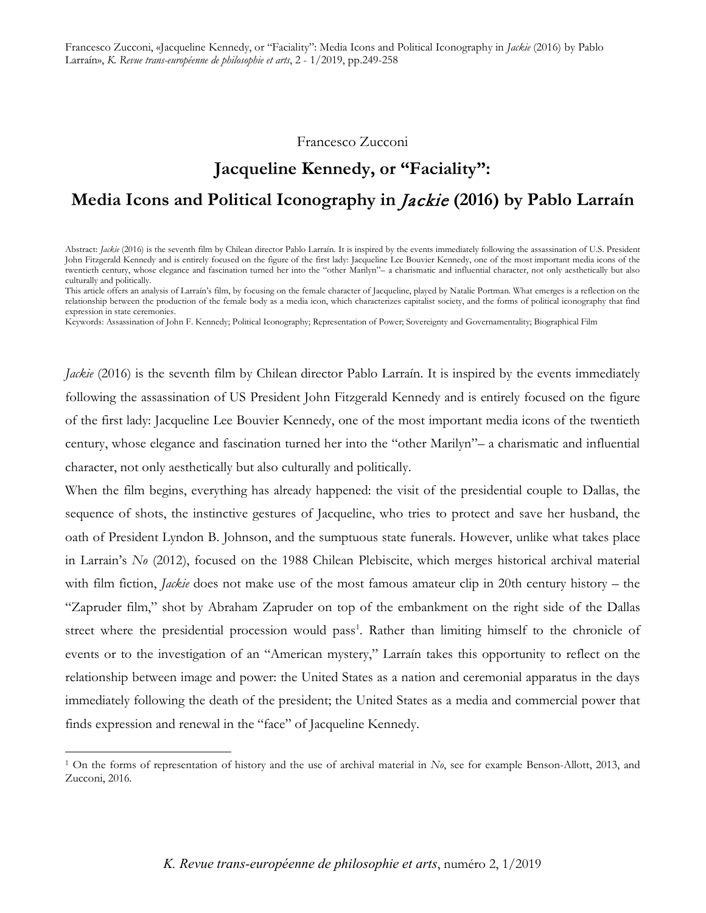Francesco Zucconi, «Jacqueline Kennedy, or "Faciality": Media Icons and Political Iconography in *Jackie* (2016) by Pablo Larraín», *K. Revue trans-européenne de philosophie et arts*, 2 - 1/2019, pp.249-258

### Francesco Zucconi

# **Jacqueline Kennedy, or "Faciality": Media Icons and Political Iconography in** Jackie **(2016) by Pablo Larraín**

Abstract: *Jackie* (2016) is the seventh film by Chilean director Pablo Larraín. It is inspired by the events immediately following the assassination of U.S. President John Fitzgerald Kennedy and is entirely focused on the figure of the first lady: Jacqueline Lee Bouvier Kennedy, one of the most important media icons of the twentieth century, whose elegance and fascination turned her into the "other Marilyn"– a charismatic and influential character, not only aesthetically but also culturally and politically.

This article offers an analysis of Larraín's film, by focusing on the female character of Jacqueline, played by Natalie Portman. What emerges is a reflection on the relationship between the production of the female body as a media icon, which characterizes capitalist society, and the forms of political iconography that find expression in state ceremonies.

Keywords: Assassination of John F. Kennedy; Political Iconography; Representation of Power; Sovereignty and Governamentality; Biographical Film

*Jackie* (2016) is the seventh film by Chilean director Pablo Larraín. It is inspired by the events immediately following the assassination of US President John Fitzgerald Kennedy and is entirely focused on the figure of the first lady: Jacqueline Lee Bouvier Kennedy, one of the most important media icons of the twentieth century, whose elegance and fascination turned her into the "other Marilyn"– a charismatic and influential character, not only aesthetically but also culturally and politically.

When the film begins, everything has already happened: the visit of the presidential couple to Dallas, the sequence of shots, the instinctive gestures of Jacqueline, who tries to protect and save her husband, the oath of President Lyndon B. Johnson, and the sumptuous state funerals. However, unlike what takes place in Larrain's *No* (2012), focused on the 1988 Chilean Plebiscite, which merges historical archival material with film fiction, *Jackie* does not make use of the most famous amateur clip in 20th century history – the "Zapruder film," shot by Abraham Zapruder on top of the embankment on the right side of the Dallas street where the presidential procession would pass<sup>[1](#page-0-0)</sup>. Rather than limiting himself to the chronicle of events or to the investigation of an "American mystery," Larraín takes this opportunity to reflect on the relationship between image and power: the United States as a nation and ceremonial apparatus in the days immediately following the death of the president; the United States as a media and commercial power that finds expression and renewal in the "face" of Jacqueline Kennedy.

-

<span id="page-0-0"></span><sup>1</sup> On the forms of representation of history and the use of archival material in *No*, see for example Benson-Allott, 2013, and Zucconi, 2016.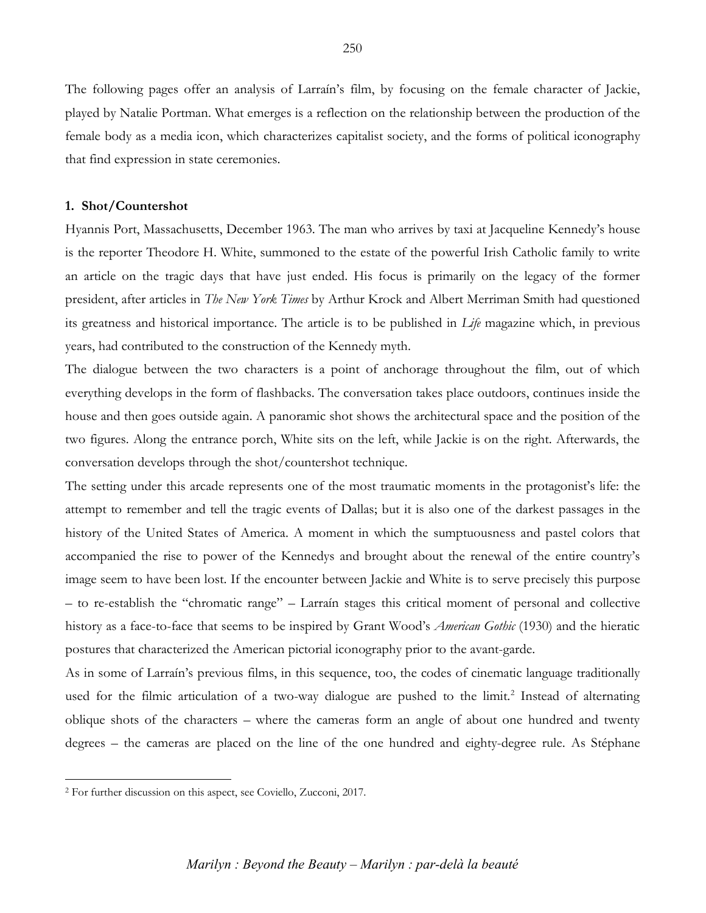The following pages offer an analysis of Larraín's film, by focusing on the female character of Jackie, played by Natalie Portman. What emerges is a reflection on the relationship between the production of the female body as a media icon, which characterizes capitalist society, and the forms of political iconography that find expression in state ceremonies.

#### **1. Shot/Countershot**

Hyannis Port, Massachusetts, December 1963. The man who arrives by taxi at Jacqueline Kennedy's house is the reporter Theodore H. White, summoned to the estate of the powerful Irish Catholic family to write an article on the tragic days that have just ended. His focus is primarily on the legacy of the former president, after articles in *The New York Times* by Arthur Krock and Albert Merriman Smith had questioned its greatness and historical importance. The article is to be published in *Life* magazine which, in previous years, had contributed to the construction of the Kennedy myth.

The dialogue between the two characters is a point of anchorage throughout the film, out of which everything develops in the form of flashbacks. The conversation takes place outdoors, continues inside the house and then goes outside again. A panoramic shot shows the architectural space and the position of the two figures. Along the entrance porch, White sits on the left, while Jackie is on the right. Afterwards, the conversation develops through the shot/countershot technique.

The setting under this arcade represents one of the most traumatic moments in the protagonist's life: the attempt to remember and tell the tragic events of Dallas; but it is also one of the darkest passages in the history of the United States of America. A moment in which the sumptuousness and pastel colors that accompanied the rise to power of the Kennedys and brought about the renewal of the entire country's image seem to have been lost. If the encounter between Jackie and White is to serve precisely this purpose – to re-establish the "chromatic range" – Larraín stages this critical moment of personal and collective history as a face-to-face that seems to be inspired by Grant Wood's *American Gothic* (1930) and the hieratic postures that characterized the American pictorial iconography prior to the avant-garde.

As in some of Larraín's previous films, in this sequence, too, the codes of cinematic language traditionally used for the filmic articulation of a two-way dialogue are pushed to the limit. [2](#page-1-0) Instead of alternating oblique shots of the characters – where the cameras form an angle of about one hundred and twenty degrees – the cameras are placed on the line of the one hundred and eighty-degree rule. As Stéphane

-

<span id="page-1-0"></span><sup>2</sup> For further discussion on this aspect, see Coviello, Zucconi, 2017.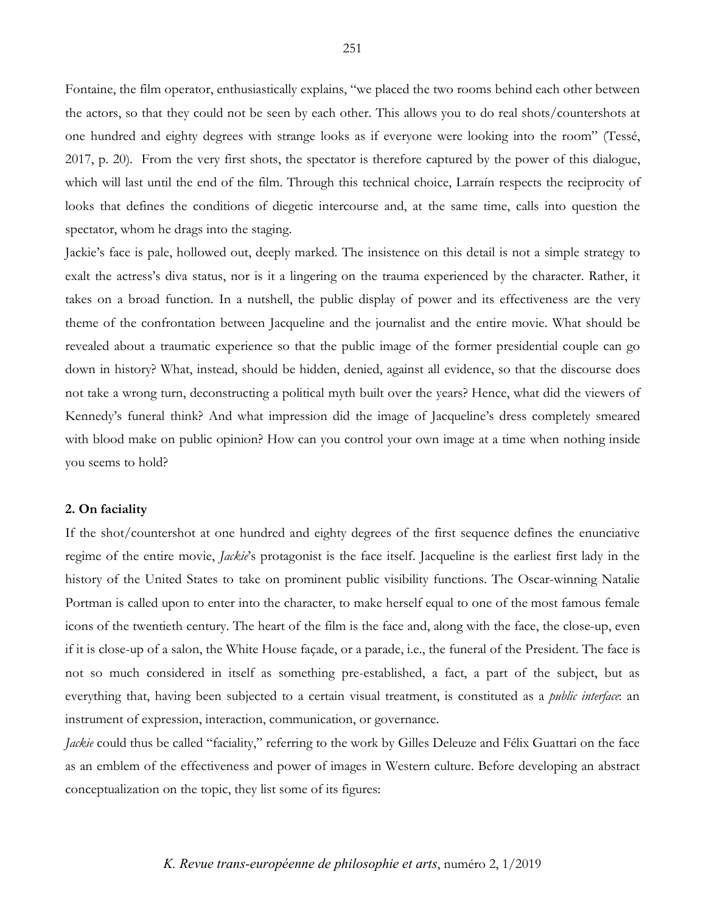Fontaine, the film operator, enthusiastically explains, "we placed the two rooms behind each other between the actors, so that they could not be seen by each other. This allows you to do real shots/countershots at one hundred and eighty degrees with strange looks as if everyone were looking into the room" (Tessé, 2017, p. 20). From the very first shots, the spectator is therefore captured by the power of this dialogue, which will last until the end of the film. Through this technical choice, Larraín respects the reciprocity of looks that defines the conditions of diegetic intercourse and, at the same time, calls into question the spectator, whom he drags into the staging.

Jackie's face is pale, hollowed out, deeply marked. The insistence on this detail is not a simple strategy to exalt the actress's diva status, nor is it a lingering on the trauma experienced by the character. Rather, it takes on a broad function. In a nutshell, the public display of power and its effectiveness are the very theme of the confrontation between Jacqueline and the journalist and the entire movie. What should be revealed about a traumatic experience so that the public image of the former presidential couple can go down in history? What, instead, should be hidden, denied, against all evidence, so that the discourse does not take a wrong turn, deconstructing a political myth built over the years? Hence, what did the viewers of Kennedy's funeral think? And what impression did the image of Jacqueline's dress completely smeared with blood make on public opinion? How can you control your own image at a time when nothing inside you seems to hold?

#### **2. On faciality**

If the shot/countershot at one hundred and eighty degrees of the first sequence defines the enunciative regime of the entire movie, *Jackie*'s protagonist is the face itself. Jacqueline is the earliest first lady in the history of the United States to take on prominent public visibility functions. The Oscar-winning Natalie Portman is called upon to enter into the character, to make herself equal to one of the most famous female icons of the twentieth century. The heart of the film is the face and, along with the face, the close-up, even if it is close-up of a salon, the White House façade, or a parade, i.e., the funeral of the President. The face is not so much considered in itself as something pre-established, a fact, a part of the subject, but as everything that, having been subjected to a certain visual treatment, is constituted as a *public interface*: an instrument of expression, interaction, communication, or governance.

*Jackie* could thus be called "faciality," referring to the work by Gilles Deleuze and Félix Guattari on the face as an emblem of the effectiveness and power of images in Western culture. Before developing an abstract conceptualization on the topic, they list some of its figures:

## *K. Revue trans-européenne de philosophie et arts*, numéro 2, 1/2019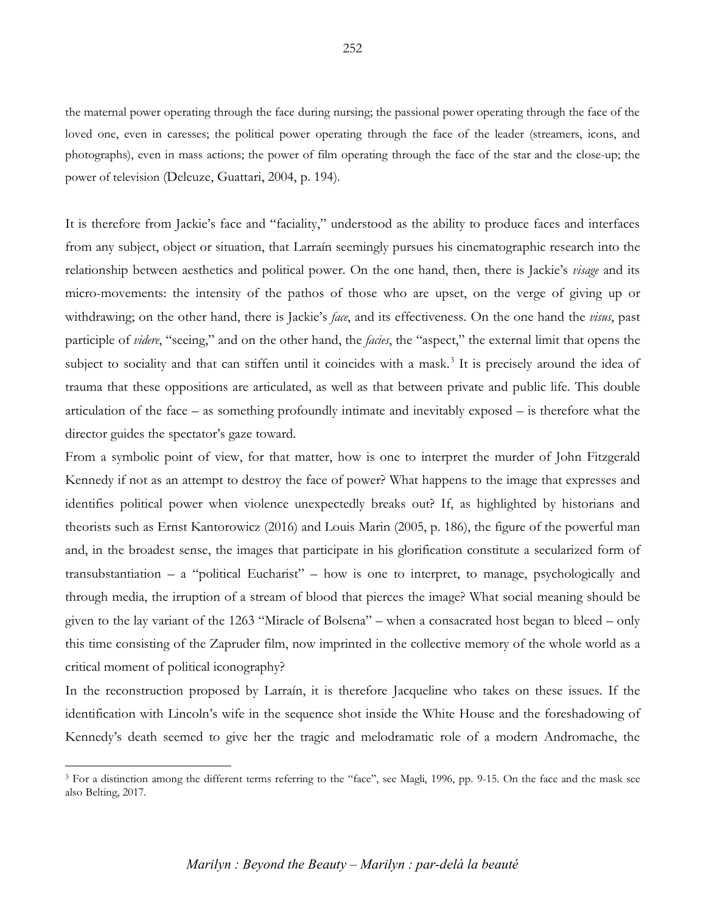the maternal power operating through the face during nursing; the passional power operating through the face of the loved one, even in caresses; the political power operating through the face of the leader (streamers, icons, and photographs), even in mass actions; the power of film operating through the face of the star and the close-up; the power of television (Deleuze, Guattari, 2004, p. 194).

It is therefore from Jackie's face and "faciality," understood as the ability to produce faces and interfaces from any subject, object or situation, that Larraín seemingly pursues his cinematographic research into the relationship between aesthetics and political power. On the one hand, then, there is Jackie's *visage* and its micro-movements: the intensity of the pathos of those who are upset, on the verge of giving up or withdrawing; on the other hand, there is Jackie's *face*, and its effectiveness. On the one hand the *visus*, past participle of *videre*, "seeing," and on the other hand, the *facies*, the "aspect," the external limit that opens the subject to sociality and that can stiffen until it coincides with a mask.<sup>[3](#page-3-0)</sup> It is precisely around the idea of trauma that these oppositions are articulated, as well as that between private and public life. This double articulation of the face – as something profoundly intimate and inevitably exposed – is therefore what the director guides the spectator's gaze toward.

From a symbolic point of view, for that matter, how is one to interpret the murder of John Fitzgerald Kennedy if not as an attempt to destroy the face of power? What happens to the image that expresses and identifies political power when violence unexpectedly breaks out? If, as highlighted by historians and theorists such as Ernst Kantorowicz (2016) and Louis Marin (2005, p. 186), the figure of the powerful man and, in the broadest sense, the images that participate in his glorification constitute a secularized form of transubstantiation – a "political Eucharist" – how is one to interpret, to manage, psychologically and through media, the irruption of a stream of blood that pierces the image? What social meaning should be given to the lay variant of the 1263 "Miracle of Bolsena" – when a consacrated host began to bleed – only this time consisting of the Zapruder film, now imprinted in the collective memory of the whole world as a critical moment of political iconography?

In the reconstruction proposed by Larraín, it is therefore Jacqueline who takes on these issues. If the identification with Lincoln's wife in the sequence shot inside the White House and the foreshadowing of Kennedy's death seemed to give her the tragic and melodramatic role of a modern Andromache, the

-

<span id="page-3-0"></span><sup>&</sup>lt;sup>3</sup> For a distinction among the different terms referring to the "face", see Magli, 1996, pp. 9-15. On the face and the mask see also Belting, 2017.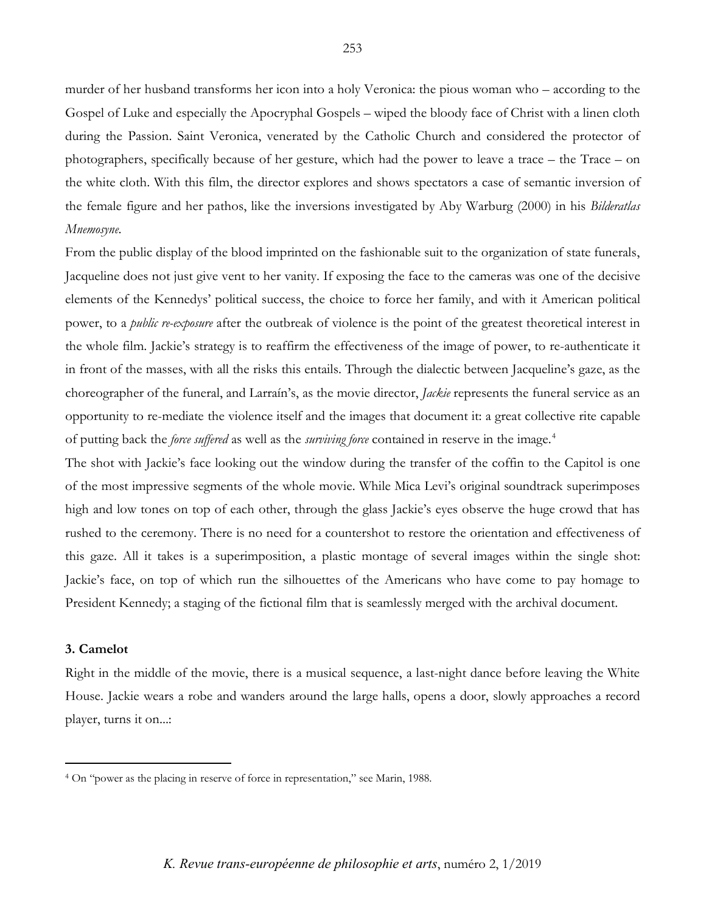murder of her husband transforms her icon into a holy Veronica: the pious woman who – according to the Gospel of Luke and especially the Apocryphal Gospels – wiped the bloody face of Christ with a linen cloth during the Passion. Saint Veronica, venerated by the Catholic Church and considered the protector of photographers, specifically because of her gesture, which had the power to leave a trace – the Trace – on the white cloth. With this film, the director explores and shows spectators a case of semantic inversion of the female figure and her pathos, like the inversions investigated by Aby Warburg (2000) in his *Bilderatlas Mnemosyne*.

From the public display of the blood imprinted on the fashionable suit to the organization of state funerals, Jacqueline does not just give vent to her vanity. If exposing the face to the cameras was one of the decisive elements of the Kennedys' political success, the choice to force her family, and with it American political power, to a *public re-exposure* after the outbreak of violence is the point of the greatest theoretical interest in the whole film. Jackie's strategy is to reaffirm the effectiveness of the image of power, to re-authenticate it in front of the masses, with all the risks this entails. Through the dialectic between Jacqueline's gaze, as the choreographer of the funeral, and Larraín's, as the movie director, *Jackie* represents the funeral service as an opportunity to re-mediate the violence itself and the images that document it: a great collective rite capable of putting back the *force suffered* as well as the *surviving force* contained in reserve in the image. [4](#page-4-0)

The shot with Jackie's face looking out the window during the transfer of the coffin to the Capitol is one of the most impressive segments of the whole movie. While Mica Levi's original soundtrack superimposes high and low tones on top of each other, through the glass Jackie's eyes observe the huge crowd that has rushed to the ceremony. There is no need for a countershot to restore the orientation and effectiveness of this gaze. All it takes is a superimposition, a plastic montage of several images within the single shot: Jackie's face, on top of which run the silhouettes of the Americans who have come to pay homage to President Kennedy; a staging of the fictional film that is seamlessly merged with the archival document.

#### **3. Camelot**

<u>.</u>

Right in the middle of the movie, there is a musical sequence, a last-night dance before leaving the White House. Jackie wears a robe and wanders around the large halls, opens a door, slowly approaches a record player, turns it on...:

<span id="page-4-0"></span><sup>4</sup> On "power as the placing in reserve of force in representation," see Marin, 1988.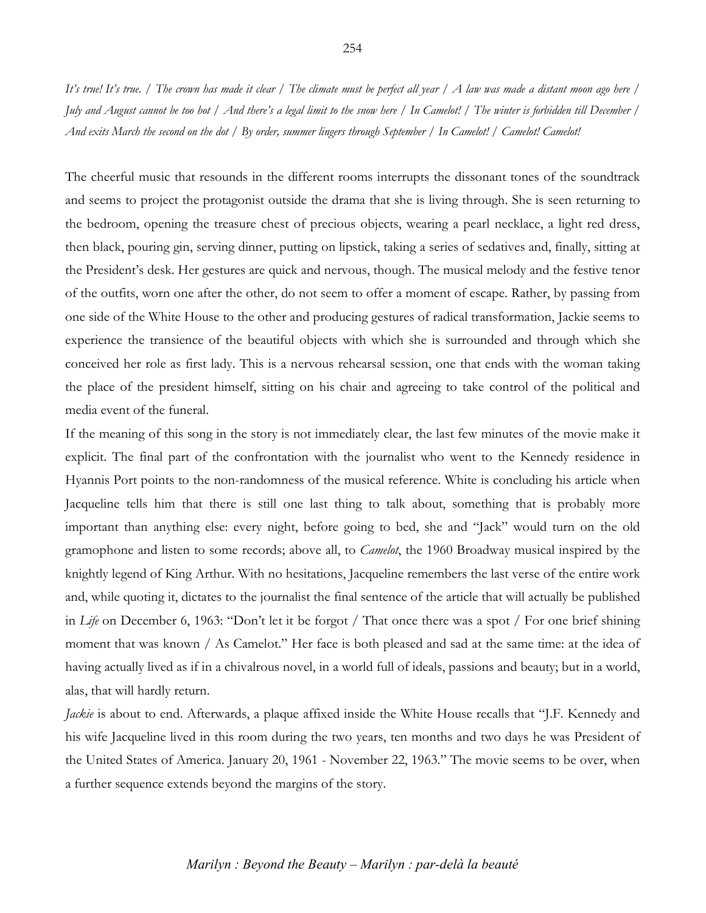*It's true! It's true. / The crown has made it clear / The climate must be perfect all year / A law was made a distant moon ago here / July and August cannot be too hot / And there's a legal limit to the snow here / In Camelot! / The winter is forbidden till December / And exits March the second on the dot / By order, summer lingers through September / In Camelot! / Camelot! Camelot!*

The cheerful music that resounds in the different rooms interrupts the dissonant tones of the soundtrack and seems to project the protagonist outside the drama that she is living through. She is seen returning to the bedroom, opening the treasure chest of precious objects, wearing a pearl necklace, a light red dress, then black, pouring gin, serving dinner, putting on lipstick, taking a series of sedatives and, finally, sitting at the President's desk. Her gestures are quick and nervous, though. The musical melody and the festive tenor of the outfits, worn one after the other, do not seem to offer a moment of escape. Rather, by passing from one side of the White House to the other and producing gestures of radical transformation, Jackie seems to experience the transience of the beautiful objects with which she is surrounded and through which she conceived her role as first lady. This is a nervous rehearsal session, one that ends with the woman taking the place of the president himself, sitting on his chair and agreeing to take control of the political and media event of the funeral.

If the meaning of this song in the story is not immediately clear, the last few minutes of the movie make it explicit. The final part of the confrontation with the journalist who went to the Kennedy residence in Hyannis Port points to the non-randomness of the musical reference. White is concluding his article when Jacqueline tells him that there is still one last thing to talk about, something that is probably more important than anything else: every night, before going to bed, she and "Jack" would turn on the old gramophone and listen to some records; above all, to *Camelot*, the 1960 Broadway musical inspired by the knightly legend of King Arthur. With no hesitations, Jacqueline remembers the last verse of the entire work and, while quoting it, dictates to the journalist the final sentence of the article that will actually be published in *Life* on December 6, 1963: "Don't let it be forgot / That once there was a spot / For one brief shining moment that was known / As Camelot." Her face is both pleased and sad at the same time: at the idea of having actually lived as if in a chivalrous novel, in a world full of ideals, passions and beauty; but in a world, alas, that will hardly return.

*Jackie* is about to end. Afterwards, a plaque affixed inside the White House recalls that "J.F. Kennedy and his wife Jacqueline lived in this room during the two years, ten months and two days he was President of the United States of America. January 20, 1961 - November 22, 1963." The movie seems to be over, when a further sequence extends beyond the margins of the story.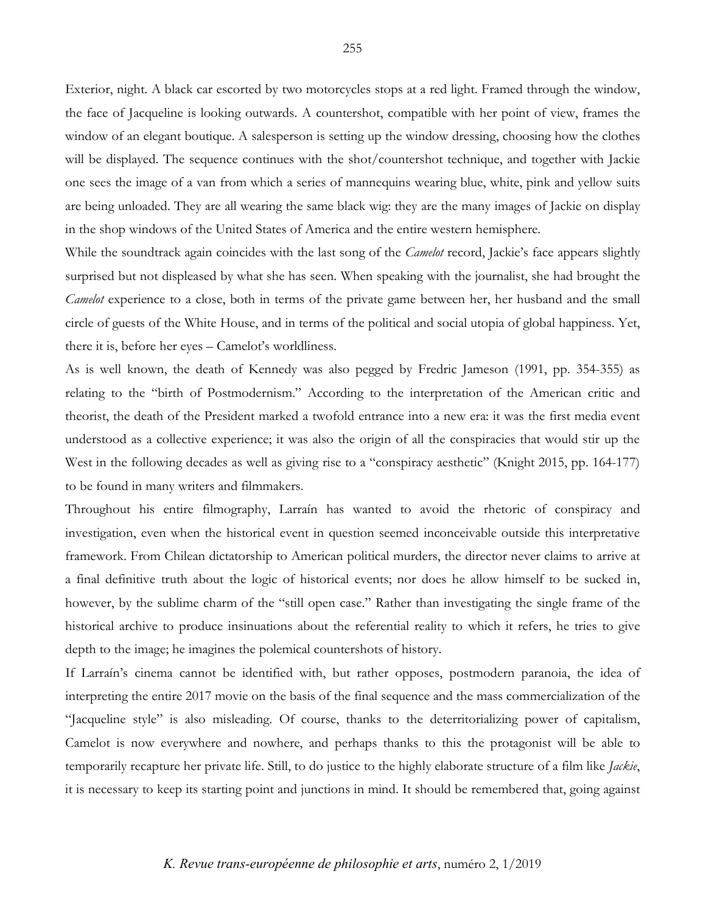Exterior, night. A black car escorted by two motorcycles stops at a red light. Framed through the window, the face of Jacqueline is looking outwards. A countershot, compatible with her point of view, frames the window of an elegant boutique. A salesperson is setting up the window dressing, choosing how the clothes will be displayed. The sequence continues with the shot/countershot technique, and together with Jackie one sees the image of a van from which a series of mannequins wearing blue, white, pink and yellow suits are being unloaded. They are all wearing the same black wig: they are the many images of Jackie on display in the shop windows of the United States of America and the entire western hemisphere.

While the soundtrack again coincides with the last song of the *Camelot* record, Jackie's face appears slightly surprised but not displeased by what she has seen. When speaking with the journalist, she had brought the *Camelot* experience to a close, both in terms of the private game between her, her husband and the small circle of guests of the White House, and in terms of the political and social utopia of global happiness. Yet, there it is, before her eyes – Camelot's worldliness.

As is well known, the death of Kennedy was also pegged by Fredric Jameson (1991, pp. 354-355) as relating to the "birth of Postmodernism." According to the interpretation of the American critic and theorist, the death of the President marked a twofold entrance into a new era: it was the first media event understood as a collective experience; it was also the origin of all the conspiracies that would stir up the West in the following decades as well as giving rise to a "conspiracy aesthetic" (Knight 2015, pp. 164-177) to be found in many writers and filmmakers.

Throughout his entire filmography, Larraín has wanted to avoid the rhetoric of conspiracy and investigation, even when the historical event in question seemed inconceivable outside this interpretative framework. From Chilean dictatorship to American political murders, the director never claims to arrive at a final definitive truth about the logic of historical events; nor does he allow himself to be sucked in, however, by the sublime charm of the "still open case." Rather than investigating the single frame of the historical archive to produce insinuations about the referential reality to which it refers, he tries to give depth to the image; he imagines the polemical countershots of history.

If Larraín's cinema cannot be identified with, but rather opposes, postmodern paranoia, the idea of interpreting the entire 2017 movie on the basis of the final sequence and the mass commercialization of the "Jacqueline style" is also misleading. Of course, thanks to the deterritorializing power of capitalism, Camelot is now everywhere and nowhere, and perhaps thanks to this the protagonist will be able to temporarily recapture her private life. Still, to do justice to the highly elaborate structure of a film like *Jackie*, it is necessary to keep its starting point and junctions in mind. It should be remembered that, going against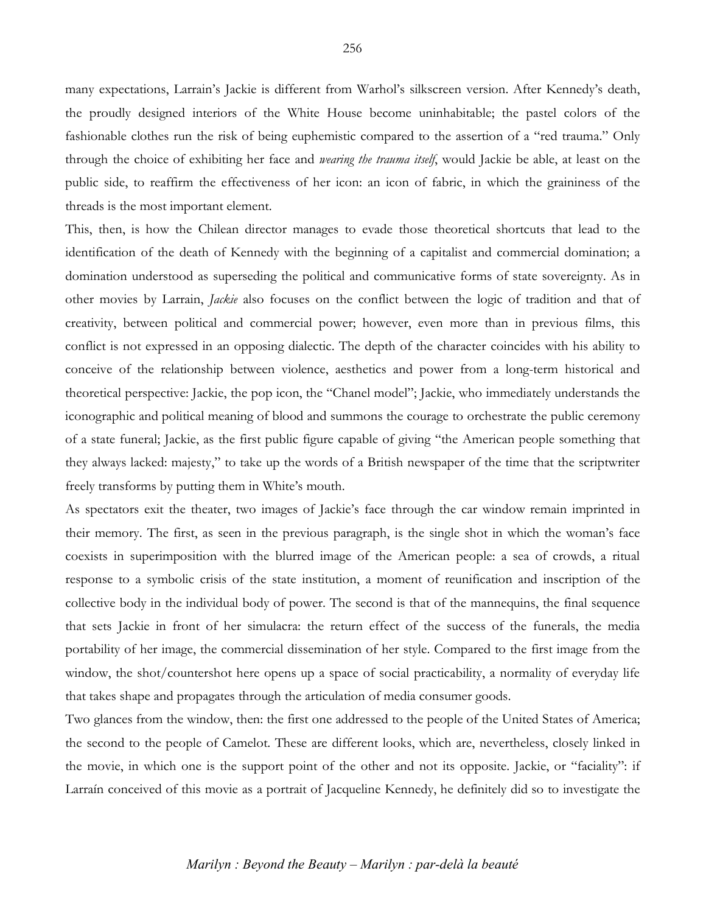many expectations, Larrain's Jackie is different from Warhol's silkscreen version. After Kennedy's death, the proudly designed interiors of the White House become uninhabitable; the pastel colors of the fashionable clothes run the risk of being euphemistic compared to the assertion of a "red trauma." Only through the choice of exhibiting her face and *wearing the trauma itself*, would Jackie be able, at least on the public side, to reaffirm the effectiveness of her icon: an icon of fabric, in which the graininess of the threads is the most important element.

This, then, is how the Chilean director manages to evade those theoretical shortcuts that lead to the identification of the death of Kennedy with the beginning of a capitalist and commercial domination; a domination understood as superseding the political and communicative forms of state sovereignty. As in other movies by Larrain, *Jackie* also focuses on the conflict between the logic of tradition and that of creativity, between political and commercial power; however, even more than in previous films, this conflict is not expressed in an opposing dialectic. The depth of the character coincides with his ability to conceive of the relationship between violence, aesthetics and power from a long-term historical and theoretical perspective: Jackie, the pop icon, the "Chanel model"; Jackie, who immediately understands the iconographic and political meaning of blood and summons the courage to orchestrate the public ceremony of a state funeral; Jackie, as the first public figure capable of giving "the American people something that they always lacked: majesty," to take up the words of a British newspaper of the time that the scriptwriter freely transforms by putting them in White's mouth.

As spectators exit the theater, two images of Jackie's face through the car window remain imprinted in their memory. The first, as seen in the previous paragraph, is the single shot in which the woman's face coexists in superimposition with the blurred image of the American people: a sea of crowds, a ritual response to a symbolic crisis of the state institution, a moment of reunification and inscription of the collective body in the individual body of power. The second is that of the mannequins, the final sequence that sets Jackie in front of her simulacra: the return effect of the success of the funerals, the media portability of her image, the commercial dissemination of her style. Compared to the first image from the window, the shot/countershot here opens up a space of social practicability, a normality of everyday life that takes shape and propagates through the articulation of media consumer goods.

Two glances from the window, then: the first one addressed to the people of the United States of America; the second to the people of Camelot. These are different looks, which are, nevertheless, closely linked in the movie, in which one is the support point of the other and not its opposite. Jackie, or "faciality": if Larraín conceived of this movie as a portrait of Jacqueline Kennedy, he definitely did so to investigate the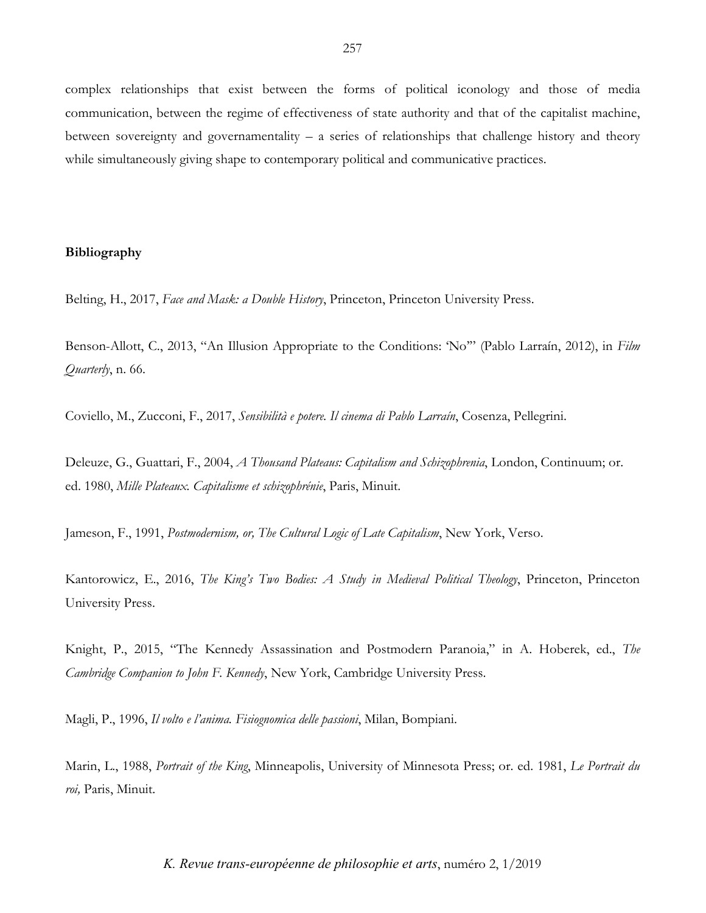complex relationships that exist between the forms of political iconology and those of media communication, between the regime of effectiveness of state authority and that of the capitalist machine, between sovereignty and governamentality – a series of relationships that challenge history and theory while simultaneously giving shape to contemporary political and communicative practices.

#### **Bibliography**

Belting, H., 2017, *Face and Mask: a Double History*, Princeton, Princeton University Press.

Benson-Allott, C., 2013, "An Illusion Appropriate to the Conditions: 'No'" (Pablo Larraín, 2012), in *Film Quarterly*, n. 66.

Coviello, M., Zucconi, F., 2017, *Sensibilità e potere. Il cinema di Pablo Larraín*, Cosenza, Pellegrini.

Deleuze, G., Guattari, F., 2004, *A Thousand Plateaus: Capitalism and Schizophrenia*, London, Continuum; or. ed. 1980, *Mille Plateaux. Capitalisme et schizophrénie*, Paris, Minuit.

Jameson, F., 1991, *Postmodernism, or, The Cultural Logic of Late Capitalism*, New York, Verso.

Kantorowicz, E., 2016, *The King's Two Bodies: A Study in Medieval Political Theology*, Princeton, Princeton University Press.

Knight, P., 2015, "The Kennedy Assassination and Postmodern Paranoia," in A. Hoberek, ed., *The Cambridge Companion to John F. Kennedy*, New York, Cambridge University Press.

Magli, P., 1996, *Il volto e l'anima. Fisiognomica delle passioni*, Milan, Bompiani.

Marin, L., 1988, *Portrait of the King*, Minneapolis, University of Minnesota Press; or. ed. 1981, *Le Portrait du roi,* Paris, Minuit.